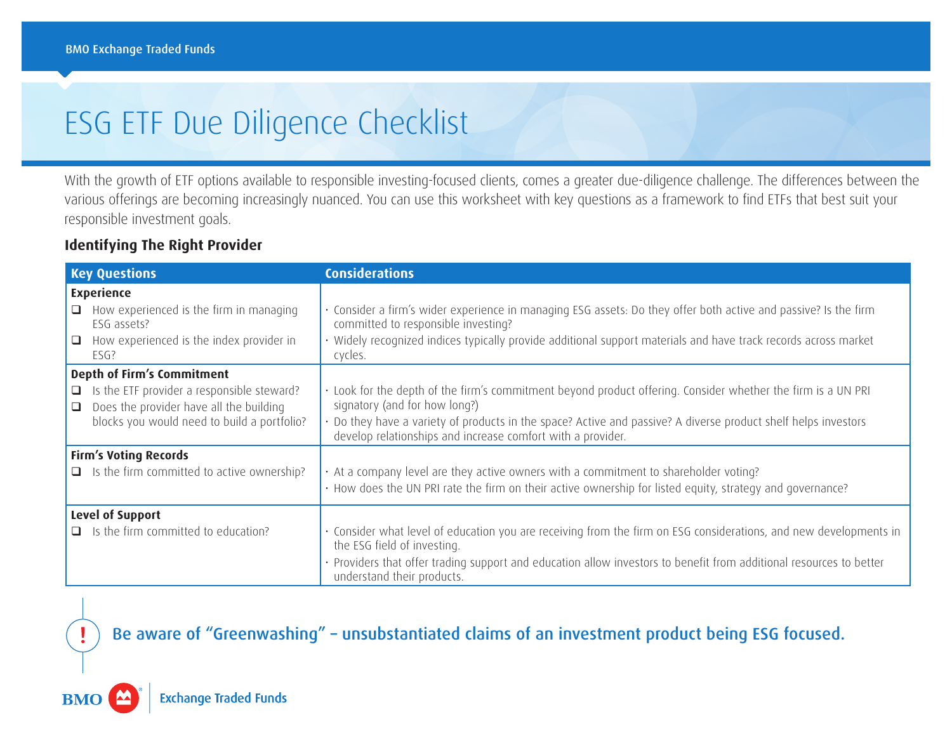# ESG ETF Due Diligence Checklist

With the growth of ETF options available to responsible investing-focused clients, comes a greater due-diligence challenge. The differences between the various offerings are becoming increasingly nuanced. You can use this worksheet with key questions as a framework to find ETFs that best suit your responsible investment goals.

#### **Identifying The Right Provider**

| <b>Key Questions</b>                                                                                                                                                                | <b>Considerations</b>                                                                                                                                                                                                                                                                                                          |
|-------------------------------------------------------------------------------------------------------------------------------------------------------------------------------------|--------------------------------------------------------------------------------------------------------------------------------------------------------------------------------------------------------------------------------------------------------------------------------------------------------------------------------|
| <b>Experience</b><br>How experienced is the firm in managing<br>$\Box$<br>ESG assets?<br>How experienced is the index provider in<br>$\Box$<br>ESG?                                 | · Consider a firm's wider experience in managing ESG assets: Do they offer both active and passive? Is the firm<br>committed to responsible investing?<br>Widely recognized indices typically provide additional support materials and have track records across market<br>cycles.                                             |
| Depth of Firm's Commitment<br>$\Box$ Is the ETF provider a responsible steward?<br>Does the provider have all the building<br>$\Box$<br>blocks you would need to build a portfolio? | . Look for the depth of the firm's commitment beyond product offering. Consider whether the firm is a UN PRI<br>signatory (and for how long?)<br>· Do they have a variety of products in the space? Active and passive? A diverse product shelf helps investors<br>develop relationships and increase comfort with a provider. |
| <b>Firm's Voting Records</b><br>$\Box$ Is the firm committed to active ownership?                                                                                                   | • At a company level are they active owners with a commitment to shareholder voting?<br>· How does the UN PRI rate the firm on their active ownership for listed equity, strategy and governance?                                                                                                                              |
| Level of Support<br>$\Box$ Is the firm committed to education?                                                                                                                      | · Consider what level of education you are receiving from the firm on ESG considerations, and new developments in<br>the ESG field of investing.<br>· Providers that offer trading support and education allow investors to benefit from additional resources to better<br>understand their products.                          |

## Be aware of "Greenwashing" – unsubstantiated claims of an investment product being ESG focused.

**Exchange Traded Funds** 

**BMO**